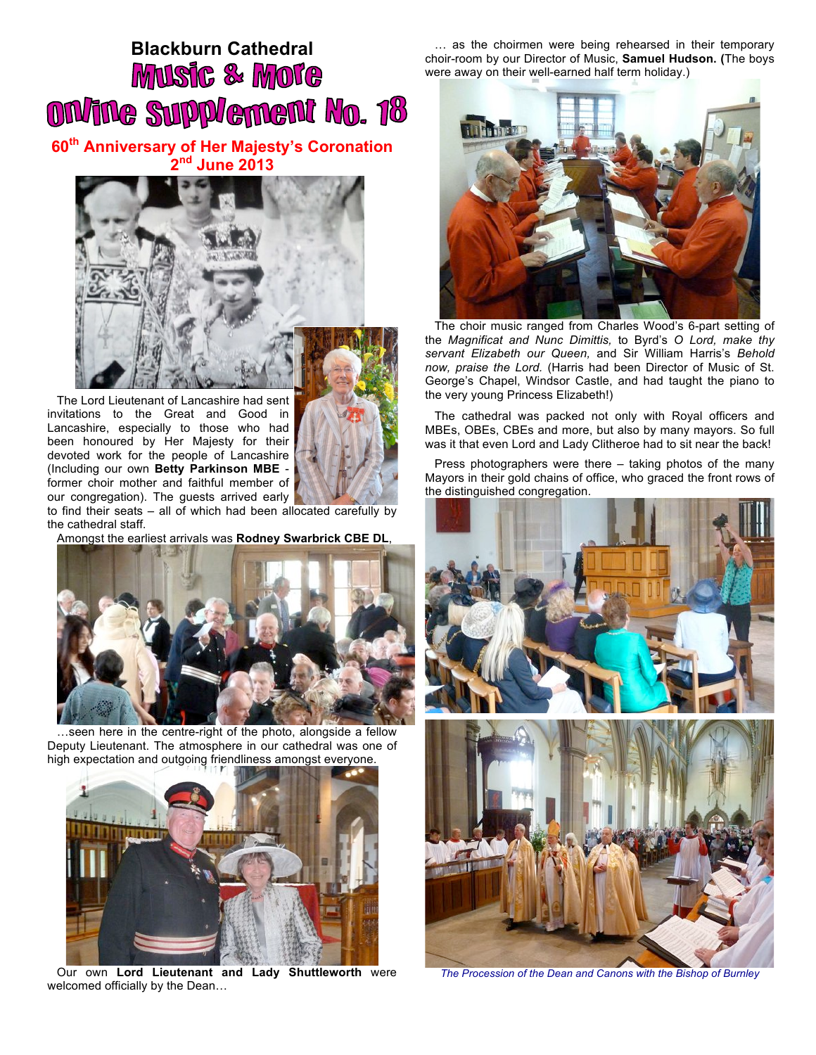## **Blackburn Cathedral Music & More** ON/ine Supplement No. 18

**60th Anniversary of Her Majesty's Coronation 2nd June 2013**



The Lord Lieutenant of Lancashire had sent invitations to the Great and Good in Lancashire, especially to those who had been honoured by Her Majesty for their devoted work for the people of Lancashire (Including our own **Betty Parkinson MBE**  former choir mother and faithful member of our congregation). The guests arrived early



to find their seats – all of which had been allocated carefully by the cathedral staff.

Amongst the earliest arrivals was **Rodney Swarbrick CBE DL**,



…seen here in the centre-right of the photo, alongside a fellow Deputy Lieutenant. The atmosphere in our cathedral was one of high expectation and outgoing friendliness amongst everyone.



Our own **Lord Lieutenant and Lady Shuttleworth** were welcomed officially by the Dean…

… as the choirmen were being rehearsed in their temporary choir-room by our Director of Music, **Samuel Hudson. (**The boys were away on their well-earned half term holiday.)



The choir music ranged from Charles Wood's 6-part setting of the *Magnificat and Nunc Dimittis,* to Byrd's *O Lord, make thy servant Elizabeth our Queen,* and Sir William Harris's *Behold now, praise the Lord.* (Harris had been Director of Music of St. George's Chapel, Windsor Castle, and had taught the piano to the very young Princess Elizabeth!)

The cathedral was packed not only with Royal officers and MBEs, OBEs, CBEs and more, but also by many mayors. So full was it that even Lord and Lady Clitheroe had to sit near the back!

Press photographers were there – taking photos of the many Mayors in their gold chains of office, who graced the front rows of the distinguished congregation.



*The Procession of the Dean and Canons with the Bishop of Burnley*